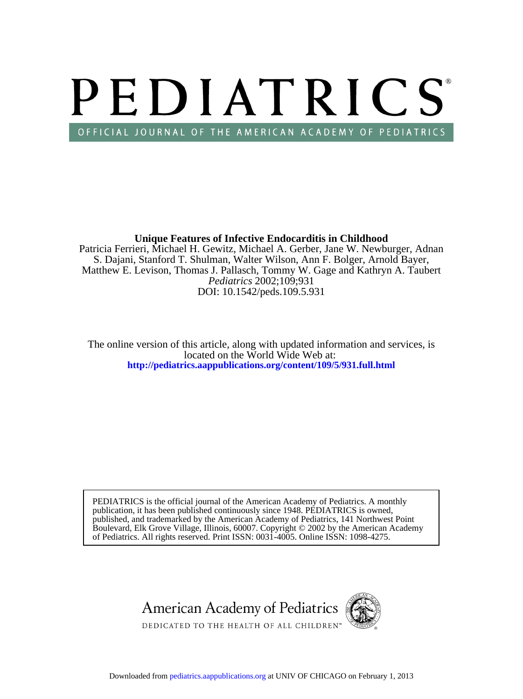# PEDIATRICS OFFICIAL JOURNAL OF THE AMERICAN ACADEMY OF PEDIATRICS

DOI: 10.1542/peds.109.5.931 *Pediatrics* 2002;109;931 Matthew E. Levison, Thomas J. Pallasch, Tommy W. Gage and Kathryn A. Taubert S. Dajani, Stanford T. Shulman, Walter Wilson, Ann F. Bolger, Arnold Bayer, Patricia Ferrieri, Michael H. Gewitz, Michael A. Gerber, Jane W. Newburger, Adnan **Unique Features of Infective Endocarditis in Childhood**

**<http://pediatrics.aappublications.org/content/109/5/931.full.html>** located on the World Wide Web at: The online version of this article, along with updated information and services, is

of Pediatrics. All rights reserved. Print ISSN: 0031-4005. Online ISSN: 1098-4275. Boulevard, Elk Grove Village, Illinois, 60007. Copyright © 2002 by the American Academy published, and trademarked by the American Academy of Pediatrics, 141 Northwest Point publication, it has been published continuously since 1948. PEDIATRICS is owned, PEDIATRICS is the official journal of the American Academy of Pediatrics. A monthly



Downloaded from [pediatrics.aappublications.org](http://pediatrics.aappublications.org/) at UNIV OF CHICAGO on February 1, 2013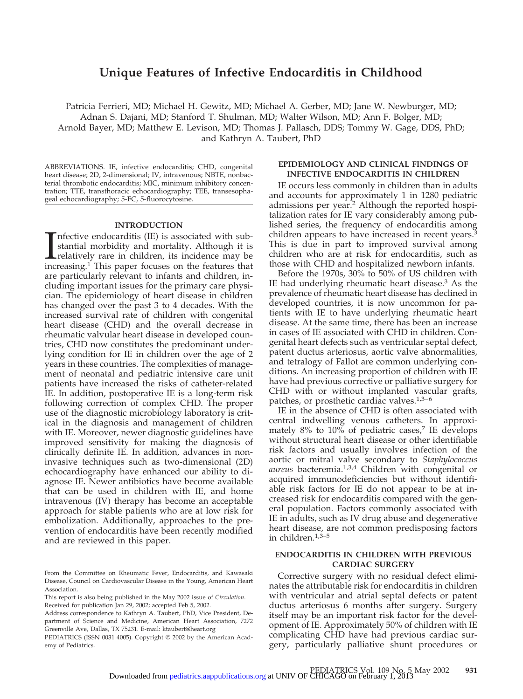## **Unique Features of Infective Endocarditis in Childhood**

Patricia Ferrieri, MD; Michael H. Gewitz, MD; Michael A. Gerber, MD; Jane W. Newburger, MD; Adnan S. Dajani, MD; Stanford T. Shulman, MD; Walter Wilson, MD; Ann F. Bolger, MD; Arnold Bayer, MD; Matthew E. Levison, MD; Thomas J. Pallasch, DDS; Tommy W. Gage, DDS, PhD; and Kathryn A. Taubert, PhD

ABBREVIATIONS. IE, infective endocarditis; CHD, congenital heart disease; 2D, 2-dimensional; IV, intravenous; NBTE, nonbacterial thrombotic endocarditis; MIC, minimum inhibitory concentration; TTE, transthoracic echocardiography; TEE, transesophageal echocardiography; 5-FC, 5-fluorocytosine.

#### **INTRODUCTION**

Infective endocarditis (IE) is associated with substantial morbidity and mortality. Although it is relatively rare in children, its incidence may be increasing.<sup>1</sup> This paper focuses on the features that nfective endocarditis (IE) is associated with substantial morbidity and mortality. Although it is relatively rare in children, its incidence may be are particularly relevant to infants and children, including important issues for the primary care physician. The epidemiology of heart disease in children has changed over the past 3 to 4 decades. With the increased survival rate of children with congenital heart disease (CHD) and the overall decrease in rheumatic valvular heart disease in developed countries, CHD now constitutes the predominant underlying condition for IE in children over the age of 2 years in these countries. The complexities of management of neonatal and pediatric intensive care unit patients have increased the risks of catheter-related IE. In addition, postoperative IE is a long-term risk following correction of complex CHD. The proper use of the diagnostic microbiology laboratory is critical in the diagnosis and management of children with IE. Moreover, newer diagnostic guidelines have improved sensitivity for making the diagnosis of clinically definite IE. In addition, advances in noninvasive techniques such as two-dimensional (2D) echocardiography have enhanced our ability to diagnose IE. Newer antibiotics have become available that can be used in children with IE, and home intravenous (IV) therapy has become an acceptable approach for stable patients who are at low risk for embolization. Additionally, approaches to the prevention of endocarditis have been recently modified and are reviewed in this paper.

#### **EPIDEMIOLOGY AND CLINICAL FINDINGS OF INFECTIVE ENDOCARDITIS IN CHILDREN**

IE occurs less commonly in children than in adults and accounts for approximately 1 in 1280 pediatric admissions per year.2 Although the reported hospitalization rates for IE vary considerably among published series, the frequency of endocarditis among children appears to have increased in recent years.3 This is due in part to improved survival among children who are at risk for endocarditis, such as those with CHD and hospitalized newborn infants.

Before the 1970s, 30% to 50% of US children with IE had underlying rheumatic heart disease.3 As the prevalence of rheumatic heart disease has declined in developed countries, it is now uncommon for patients with IE to have underlying rheumatic heart disease. At the same time, there has been an increase in cases of IE associated with CHD in children. Congenital heart defects such as ventricular septal defect, patent ductus arteriosus, aortic valve abnormalities, and tetralogy of Fallot are common underlying conditions. An increasing proportion of children with IE have had previous corrective or palliative surgery for CHD with or without implanted vascular grafts, patches, or prosthetic cardiac valves.1,3–6

IE in the absence of CHD is often associated with central indwelling venous catheters. In approximately  $8\%$  to  $10\%$  of pediatric cases,<sup>7</sup> IE develops without structural heart disease or other identifiable risk factors and usually involves infection of the aortic or mitral valve secondary to *Staphylococcus aureus* bacteremia.1,3,4 Children with congenital or acquired immunodeficiencies but without identifiable risk factors for IE do not appear to be at increased risk for endocarditis compared with the general population. Factors commonly associated with IE in adults, such as IV drug abuse and degenerative heart disease, are not common predisposing factors in children.1,3–5

## **ENDOCARDITIS IN CHILDREN WITH PREVIOUS CARDIAC SURGERY**

Corrective surgery with no residual defect eliminates the attributable risk for endocarditis in children with ventricular and atrial septal defects or patent ductus arteriosus 6 months after surgery. Surgery itself may be an important risk factor for the development of IE. Approximately 50% of children with IE complicating CHD have had previous cardiac surgery, particularly palliative shunt procedures or

From the Committee on Rheumatic Fever, Endocarditis, and Kawasaki Disease, Council on Cardiovascular Disease in the Young, American Heart Association.

This report is also being published in the May 2002 issue of *Circulation*. Received for publication Jan 29, 2002; accepted Feb 5, 2002.

Address correspondence to Kathryn A. Taubert, PhD, Vice President, Department of Science and Medicine, American Heart Association, 7272 Greenville Ave, Dallas, TX 75231. E-mail: ktaubert@heart.org

PEDIATRICS (ISSN 0031 4005). Copyright © 2002 by the American Academy of Pediatrics.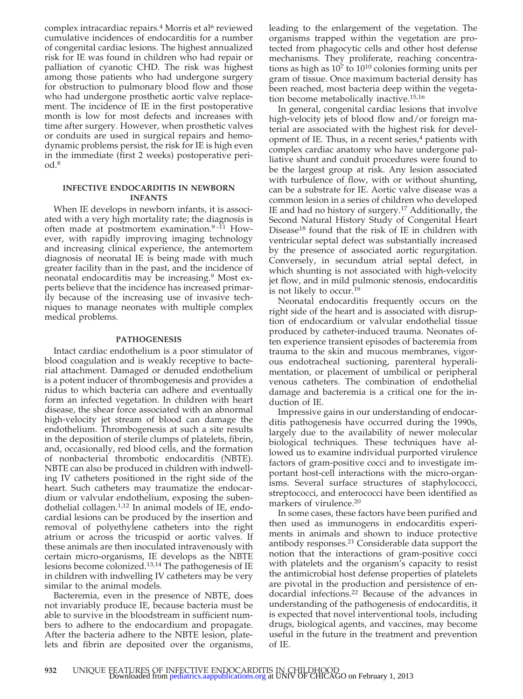complex intracardiac repairs.<sup>4</sup> Morris et al<sup>6</sup> reviewed cumulative incidences of endocarditis for a number of congenital cardiac lesions. The highest annualized risk for IE was found in children who had repair or palliation of cyanotic CHD. The risk was highest among those patients who had undergone surgery for obstruction to pulmonary blood flow and those who had undergone prosthetic aortic valve replacement. The incidence of IE in the first postoperative month is low for most defects and increases with time after surgery. However, when prosthetic valves or conduits are used in surgical repairs and hemodynamic problems persist, the risk for IE is high even in the immediate (first 2 weeks) postoperative period.8

## **INFECTIVE ENDOCARDITIS IN NEWBORN INFANTS**

When IE develops in newborn infants, it is associated with a very high mortality rate; the diagnosis is often made at postmortem examination.<sup>9-11</sup> However, with rapidly improving imaging technology and increasing clinical experience, the antemortem diagnosis of neonatal IE is being made with much greater facility than in the past, and the incidence of neonatal endocarditis may be increasing.9 Most experts believe that the incidence has increased primarily because of the increasing use of invasive techniques to manage neonates with multiple complex medical problems.

## **PATHOGENESIS**

Intact cardiac endothelium is a poor stimulator of blood coagulation and is weakly receptive to bacterial attachment. Damaged or denuded endothelium is a potent inducer of thrombogenesis and provides a nidus to which bacteria can adhere and eventually form an infected vegetation. In children with heart disease, the shear force associated with an abnormal high-velocity jet stream of blood can damage the endothelium. Thrombogenesis at such a site results in the deposition of sterile clumps of platelets, fibrin, and, occasionally, red blood cells, and the formation of nonbacterial thrombotic endocarditis (NBTE). NBTE can also be produced in children with indwelling IV catheters positioned in the right side of the heart. Such catheters may traumatize the endocardium or valvular endothelium, exposing the subendothelial collagen.1,12 In animal models of IE, endocardial lesions can be produced by the insertion and removal of polyethylene catheters into the right atrium or across the tricuspid or aortic valves. If these animals are then inoculated intravenously with certain micro-organisms, IE develops as the NBTE lesions become colonized.13,14 The pathogenesis of IE in children with indwelling IV catheters may be very similar to the animal models.

Bacteremia, even in the presence of NBTE, does not invariably produce IE, because bacteria must be able to survive in the bloodstream in sufficient numbers to adhere to the endocardium and propagate. After the bacteria adhere to the NBTE lesion, platelets and fibrin are deposited over the organisms, leading to the enlargement of the vegetation. The organisms trapped within the vegetation are protected from phagocytic cells and other host defense mechanisms. They proliferate, reaching concentrations as high as  $10^7$  to  $10^{10}$  colonies forming units per gram of tissue. Once maximum bacterial density has been reached, most bacteria deep within the vegetation become metabolically inactive.15,16

In general, congenital cardiac lesions that involve high-velocity jets of blood flow and/or foreign material are associated with the highest risk for development of IE. Thus, in a recent series, $4$  patients with complex cardiac anatomy who have undergone palliative shunt and conduit procedures were found to be the largest group at risk. Any lesion associated with turbulence of flow, with or without shunting, can be a substrate for IE. Aortic valve disease was a common lesion in a series of children who developed IE and had no history of surgery.17 Additionally, the Second Natural History Study of Congenital Heart Disease<sup>18</sup> found that the risk of IE in children with ventricular septal defect was substantially increased by the presence of associated aortic regurgitation. Conversely, in secundum atrial septal defect, in which shunting is not associated with high-velocity jet flow, and in mild pulmonic stenosis, endocarditis is not likely to occur.19

Neonatal endocarditis frequently occurs on the right side of the heart and is associated with disruption of endocardium or valvular endothelial tissue produced by catheter-induced trauma. Neonates often experience transient episodes of bacteremia from trauma to the skin and mucous membranes, vigorous endotracheal suctioning, parenteral hyperalimentation, or placement of umbilical or peripheral venous catheters. The combination of endothelial damage and bacteremia is a critical one for the induction of IE.

Impressive gains in our understanding of endocarditis pathogenesis have occurred during the 1990s, largely due to the availability of newer molecular biological techniques. These techniques have allowed us to examine individual purported virulence factors of gram-positive cocci and to investigate important host-cell interactions with the micro-organisms. Several surface structures of staphylococci, streptococci, and enterococci have been identified as markers of virulence.<sup>20</sup>

In some cases, these factors have been purified and then used as immunogens in endocarditis experiments in animals and shown to induce protective antibody responses.21 Considerable data support the notion that the interactions of gram-positive cocci with platelets and the organism's capacity to resist the antimicrobial host defense properties of platelets are pivotal in the production and persistence of endocardial infections.22 Because of the advances in understanding of the pathogenesis of endocarditis, it is expected that novel interventional tools, including drugs, biological agents, and vaccines, may become useful in the future in the treatment and prevention of IE.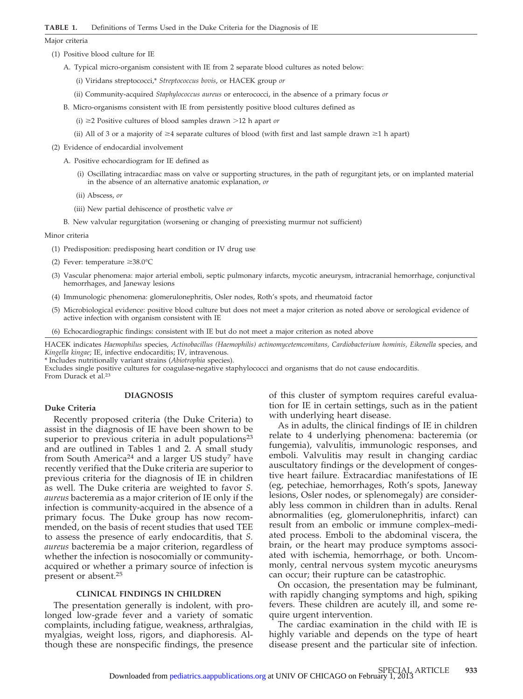#### Major criteria

- (1) Positive blood culture for IE
	- A. Typical micro-organism consistent with IE from 2 separate blood cultures as noted below:
		- (i) Viridans streptococci,\* *Streptococcus bovis*, or HACEK group *or*
		- (ii) Community-acquired *Staphylococcus aureus* or enterococci, in the absence of a primary focus *or*
	- B. Micro-organisms consistent with IE from persistently positive blood cultures defined as
		- (i)  $\geq$  2 Positive cultures of blood samples drawn  $>$  12 h apart *or*
		- (ii) All of 3 or a majority of  $\geq 4$  separate cultures of blood (with first and last sample drawn  $\geq 1$  h apart)
- (2) Evidence of endocardial involvement
	- A. Positive echocardiogram for IE defined as
		- (i) Oscillating intracardiac mass on valve or supporting structures, in the path of regurgitant jets, or on implanted material in the absence of an alternative anatomic explanation, *or*
		- (ii) Abscess, *or*
		- (iii) New partial dehiscence of prosthetic valve *or*
	- B. New valvular regurgitation (worsening or changing of preexisting murmur not sufficient)

Minor criteria

- (1) Predisposition: predisposing heart condition or IV drug use
- (2) Fever: temperature  $\geq 38.0^{\circ}$ C
- (3) Vascular phenomena: major arterial emboli, septic pulmonary infarcts, mycotic aneurysm, intracranial hemorrhage, conjunctival hemorrhages, and Janeway lesions
- (4) Immunologic phenomena: glomerulonephritis, Osler nodes, Roth's spots, and rheumatoid factor
- (5) Microbiological evidence: positive blood culture but does not meet a major criterion as noted above or serological evidence of active infection with organism consistent with IE
- (6) Echocardiographic findings: consistent with IE but do not meet a major criterion as noted above

HACEK indicates *Haemophilus* species, *Actinobacillus (Haemophilis) actinomycetemcomitans, Cardiobacterium hominis, Eikenella* species, and *Kingella kingae*; IE, infective endocarditis; IV, intravenous.

\* Includes nutritionally variant strains (*Abiotrophia* species).

Excludes single positive cultures for coagulase-negative staphylococci and organisms that do not cause endocarditis. From Durack et al.23

#### **DIAGNOSIS**

## **Duke Criteria**

Recently proposed criteria (the Duke Criteria) to assist in the diagnosis of IE have been shown to be superior to previous criteria in adult populations<sup>23</sup> and are outlined in Tables 1 and 2. A small study from South America<sup>24</sup> and a larger US study<sup>7</sup> have recently verified that the Duke criteria are superior to previous criteria for the diagnosis of IE in children as well. The Duke criteria are weighted to favor *S. aureus* bacteremia as a major criterion of IE only if the infection is community-acquired in the absence of a primary focus. The Duke group has now recommended, on the basis of recent studies that used TEE to assess the presence of early endocarditis, that *S. aureus* bacteremia be a major criterion, regardless of whether the infection is nosocomially or communityacquired or whether a primary source of infection is present or absent.25

## **CLINICAL FINDINGS IN CHILDREN**

The presentation generally is indolent, with prolonged low-grade fever and a variety of somatic complaints, including fatigue, weakness, arthralgias, myalgias, weight loss, rigors, and diaphoresis. Although these are nonspecific findings, the presence of this cluster of symptom requires careful evaluation for IE in certain settings, such as in the patient with underlying heart disease.

As in adults, the clinical findings of IE in children relate to 4 underlying phenomena: bacteremia (or fungemia), valvulitis, immunologic responses, and emboli. Valvulitis may result in changing cardiac auscultatory findings or the development of congestive heart failure. Extracardiac manifestations of IE (eg, petechiae, hemorrhages, Roth's spots, Janeway lesions, Osler nodes, or splenomegaly) are considerably less common in children than in adults. Renal abnormalities (eg, glomerulonephritis, infarct) can result from an embolic or immune complex–mediated process. Emboli to the abdominal viscera, the brain, or the heart may produce symptoms associated with ischemia, hemorrhage, or both. Uncommonly, central nervous system mycotic aneurysms can occur; their rupture can be catastrophic.

On occasion, the presentation may be fulminant, with rapidly changing symptoms and high, spiking fevers. These children are acutely ill, and some require urgent intervention.

The cardiac examination in the child with IE is highly variable and depends on the type of heart disease present and the particular site of infection.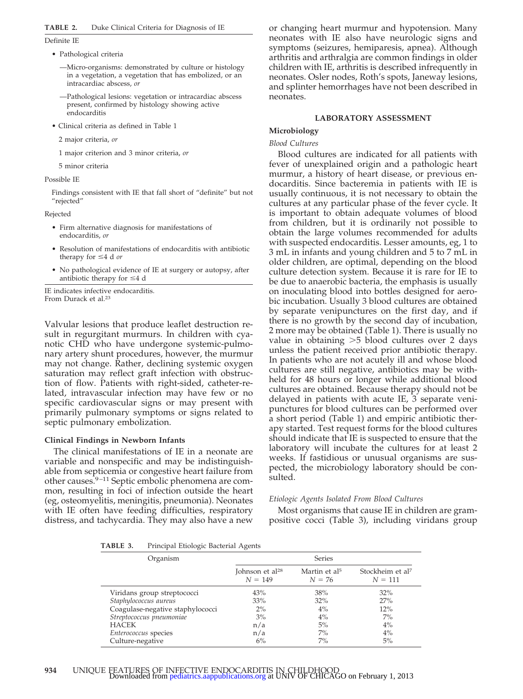Definite IE

- Pathological criteria
	- —Micro-organisms: demonstrated by culture or histology in a vegetation, a vegetation that has embolized, or an intracardiac abscess, *or*
	- —Pathological lesions: vegetation or intracardiac abscess present, confirmed by histology showing active endocarditis
- Clinical criteria as defined in Table 1
	- 2 major criteria, *or*
	- 1 major criterion and 3 minor criteria, *or*
	- 5 minor criteria

#### Possible IE

Findings consistent with IE that fall short of "definite" but not "rejected"

Rejected

- Firm alternative diagnosis for manifestations of endocarditis, *or*
- Resolution of manifestations of endocarditis with antibiotic therapy for ≤4 d *or*
- No pathological evidence of IE at surgery or autopsy, after antibiotic therapy for  $\leq 4$  d

IE indicates infective endocarditis. From Durack et al.<sup>23</sup>

Valvular lesions that produce leaflet destruction result in regurgitant murmurs. In children with cyanotic CHD who have undergone systemic-pulmonary artery shunt procedures, however, the murmur may not change. Rather, declining systemic oxygen saturation may reflect graft infection with obstruction of flow. Patients with right-sided, catheter-related, intravascular infection may have few or no specific cardiovascular signs or may present with primarily pulmonary symptoms or signs related to septic pulmonary embolization.

#### **Clinical Findings in Newborn Infants**

The clinical manifestations of IE in a neonate are variable and nonspecific and may be indistinguishable from septicemia or congestive heart failure from other causes.9–11 Septic embolic phenomena are common, resulting in foci of infection outside the heart (eg, osteomyelitis, meningitis, pneumonia). Neonates with IE often have feeding difficulties, respiratory distress, and tachycardia. They may also have a new

or changing heart murmur and hypotension. Many neonates with IE also have neurologic signs and symptoms (seizures, hemiparesis, apnea). Although arthritis and arthralgia are common findings in older children with IE, arthritis is described infrequently in neonates. Osler nodes, Roth's spots, Janeway lesions, and splinter hemorrhages have not been described in neonates.

#### **LABORATORY ASSESSMENT**

## **Microbiology**

#### *Blood Cultures*

Blood cultures are indicated for all patients with fever of unexplained origin and a pathologic heart murmur, a history of heart disease, or previous endocarditis. Since bacteremia in patients with IE is usually continuous, it is not necessary to obtain the cultures at any particular phase of the fever cycle. It is important to obtain adequate volumes of blood from children, but it is ordinarily not possible to obtain the large volumes recommended for adults with suspected endocarditis. Lesser amounts, eg, 1 to 3 mL in infants and young children and 5 to 7 mL in older children, are optimal, depending on the blood culture detection system. Because it is rare for IE to be due to anaerobic bacteria, the emphasis is usually on inoculating blood into bottles designed for aerobic incubation. Usually 3 blood cultures are obtained by separate venipunctures on the first day, and if there is no growth by the second day of incubation, 2 more may be obtained (Table 1). There is usually no value in obtaining  $>5$  blood cultures over 2 days unless the patient received prior antibiotic therapy. In patients who are not acutely ill and whose blood cultures are still negative, antibiotics may be withheld for 48 hours or longer while additional blood cultures are obtained. Because therapy should not be delayed in patients with acute IE, 3 separate venipunctures for blood cultures can be performed over a short period (Table 1) and empiric antibiotic therapy started. Test request forms for the blood cultures should indicate that IE is suspected to ensure that the laboratory will incubate the cultures for at least 2 weeks. If fastidious or unusual organisms are suspected, the microbiology laboratory should be consulted.

#### *Etiologic Agents Isolated From Blood Cultures*

Most organisms that cause IE in children are grampositive cocci (Table 3), including viridans group

**TABLE 3.** Principal Etiologic Bacterial Agents

| Organism                         | <b>Series</b>                            |                                       |                                           |
|----------------------------------|------------------------------------------|---------------------------------------|-------------------------------------------|
|                                  | Johnson et al <sup>28</sup><br>$N = 149$ | Martin et al <sup>5</sup><br>$N = 76$ | Stockheim et al <sup>7</sup><br>$N = 111$ |
| Viridans group streptococci      | 43%                                      | 38%                                   | 32%                                       |
| Staphylococcus aureus            | 33%                                      | 32%                                   | 27%                                       |
| Coagulase-negative staphylococci | 2%                                       | $4\%$                                 | 12%                                       |
| Streptococcus pneumoniae         | 3%                                       | 4%                                    | $7\%$                                     |
| <b>HACEK</b>                     | n/a                                      | $5\%$                                 | 4%                                        |
| Enterococcus species             | n/a                                      | $7\%$                                 | $4\%$                                     |
| Culture-negative                 | 6%                                       | $7\%$                                 | 5%                                        |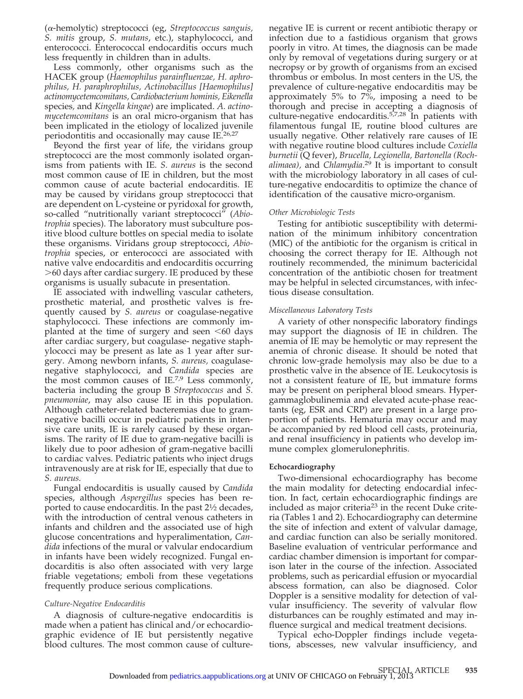(α-hemolytic) streptococci (eg, *Streptococcus sanguis*, *S. mitis* group, *S. mutans*, etc.), staphylococci, and enterococci. Enterococcal endocarditis occurs much less frequently in children than in adults.

Less commonly, other organisms such as the HACEK group (*Haemophilus parainfluenzae, H. aphrophilus, H. paraphrophilus, Actinobacillus [Haemophilus] actinomycetemcomitans, Cardiobacterium hominis, Eikenella* species*,* and *Kingella kingae*) are implicated. *A. actinomycetemcomitans* is an oral micro-organism that has been implicated in the etiology of localized juvenile periodontitis and occasionally may cause IE.26,27

Beyond the first year of life, the viridans group streptococci are the most commonly isolated organisms from patients with IE. *S. aureus* is the second most common cause of IE in children, but the most common cause of acute bacterial endocarditis. IE may be caused by viridans group streptococci that are dependent on L-cysteine or pyridoxal for growth, so-called "nutritionally variant streptococci" (*Abiotrophia* species). The laboratory must subculture positive blood culture bottles on special media to isolate these organisms. Viridans group streptococci, *Abiotrophia* species, or enterococci are associated with native valve endocarditis and endocarditis occurring 60 days after cardiac surgery. IE produced by these organisms is usually subacute in presentation.

IE associated with indwelling vascular catheters, prosthetic material, and prosthetic valves is frequently caused by *S. aureus* or coagulase-negative staphylococci. These infections are commonly implanted at the time of surgery and seen  $\leq 60$  days after cardiac surgery, but coagulase- negative staphylococci may be present as late as 1 year after surgery. Among newborn infants, *S. aureus,* coagulasenegative staphylococci, and *Candida* species are the most common causes of IE.7,9 Less commonly, bacteria including the group B *Streptococcus* and *S. pneumoniae*, may also cause IE in this population. Although catheter-related bacteremias due to gramnegative bacilli occur in pediatric patients in intensive care units, IE is rarely caused by these organisms. The rarity of IE due to gram-negative bacilli is likely due to poor adhesion of gram-negative bacilli to cardiac valves. Pediatric patients who inject drugs intravenously are at risk for IE, especially that due to *S. aureus.*

Fungal endocarditis is usually caused by *Candida* species, although *Aspergillus* species has been reported to cause endocarditis. In the past 21⁄2 decades, with the introduction of central venous catheters in infants and children and the associated use of high glucose concentrations and hyperalimentation, *Candida* infections of the mural or valvular endocardium in infants have been widely recognized. Fungal endocarditis is also often associated with very large friable vegetations; emboli from these vegetations frequently produce serious complications.

## *Culture-Negative Endocarditis*

A diagnosis of culture-negative endocarditis is made when a patient has clinical and/or echocardiographic evidence of IE but persistently negative blood cultures. The most common cause of culturenegative IE is current or recent antibiotic therapy or infection due to a fastidious organism that grows poorly in vitro. At times, the diagnosis can be made only by removal of vegetations during surgery or at necropsy or by growth of organisms from an excised thrombus or embolus. In most centers in the US, the prevalence of culture-negative endocarditis may be approximately 5% to 7%, imposing a need to be thorough and precise in accepting a diagnosis of culture-negative endocarditis.5,7,28 In patients with filamentous fungal IE, routine blood cultures are usually negative. Other relatively rare causes of IE with negative routine blood cultures include *Coxiella burnetii* (Q fever), *Brucella, Legionella, Bartonella (Rochalimaea),* and *Chlamydia*. <sup>29</sup> It is important to consult with the microbiology laboratory in all cases of culture-negative endocarditis to optimize the chance of identification of the causative micro-organism.

## *Other Microbiologic Tests*

Testing for antibiotic susceptibility with determination of the minimum inhibitory concentration (MIC) of the antibiotic for the organism is critical in choosing the correct therapy for IE. Although not routinely recommended, the minimum bactericidal concentration of the antibiotic chosen for treatment may be helpful in selected circumstances, with infectious disease consultation.

## *Miscellaneous Laboratory Tests*

A variety of other nonspecific laboratory findings may support the diagnosis of IE in children. The anemia of IE may be hemolytic or may represent the anemia of chronic disease. It should be noted that chronic low-grade hemolysis may also be due to a prosthetic valve in the absence of IE. Leukocytosis is not a consistent feature of IE, but immature forms may be present on peripheral blood smears. Hypergammaglobulinemia and elevated acute-phase reactants (eg, ESR and CRP) are present in a large proportion of patients. Hematuria may occur and may be accompanied by red blood cell casts, proteinuria, and renal insufficiency in patients who develop immune complex glomerulonephritis.

## **Echocardiography**

Two-dimensional echocardiography has become the main modality for detecting endocardial infection. In fact, certain echocardiographic findings are included as major criteria<sup>23</sup> in the recent Duke criteria (Tables 1 and 2). Echocardiography can determine the site of infection and extent of valvular damage, and cardiac function can also be serially monitored. Baseline evaluation of ventricular performance and cardiac chamber dimension is important for comparison later in the course of the infection. Associated problems, such as pericardial effusion or myocardial abscess formation, can also be diagnosed. Color Doppler is a sensitive modality for detection of valvular insufficiency. The severity of valvular flow disturbances can be roughly estimated and may influence surgical and medical treatment decisions.

Typical echo-Doppler findings include vegetations, abscesses, new valvular insufficiency, and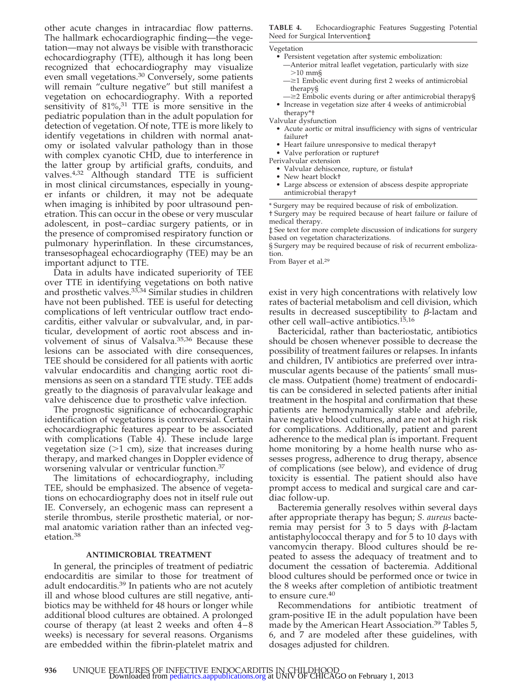other acute changes in intracardiac flow patterns. The hallmark echocardiographic finding—the vegetation—may not always be visible with transthoracic echocardiography (TTE), although it has long been recognized that echocardiography may visualize even small vegetations.<sup>30</sup> Conversely, some patients will remain "culture negative" but still manifest a vegetation on echocardiography. With a reported sensitivity of 81%,<sup>31</sup> TTE is more sensitive in the pediatric population than in the adult population for detection of vegetation. Of note, TTE is more likely to identify vegetations in children with normal anatomy or isolated valvular pathology than in those with complex cyanotic CHD, due to interference in the latter group by artificial grafts, conduits, and valves.4,32 Although standard TTE is sufficient in most clinical circumstances, especially in younger infants or children, it may not be adequate when imaging is inhibited by poor ultrasound penetration. This can occur in the obese or very muscular adolescent, in post–cardiac surgery patients, or in the presence of compromised respiratory function or pulmonary hyperinflation. In these circumstances, transesophageal echocardiography (TEE) may be an important adjunct to TTE.

Data in adults have indicated superiority of TEE over TTE in identifying vegetations on both native and prosthetic valves.<sup>33,34</sup> Similar studies in children have not been published. TEE is useful for detecting complications of left ventricular outflow tract endocarditis, either valvular or subvalvular, and, in particular, development of aortic root abscess and involvement of sinus of Valsalva.<sup>35,36</sup> Because these lesions can be associated with dire consequences, TEE should be considered for all patients with aortic valvular endocarditis and changing aortic root dimensions as seen on a standard TTE study. TEE adds greatly to the diagnosis of paravalvular leakage and valve dehiscence due to prosthetic valve infection.

The prognostic significance of echocardiographic identification of vegetations is controversial. Certain echocardiographic features appear to be associated with complications (Table 4). These include large vegetation size  $(>1$  cm), size that increases during therapy, and marked changes in Doppler evidence of worsening valvular or ventricular function.37

The limitations of echocardiography, including TEE, should be emphasized. The absence of vegetations on echocardiography does not in itself rule out IE. Conversely, an echogenic mass can represent a sterile thrombus, sterile prosthetic material, or normal anatomic variation rather than an infected vegetation.38

#### **ANTIMICROBIAL TREATMENT**

In general, the principles of treatment of pediatric endocarditis are similar to those for treatment of adult endocarditis.<sup>39</sup> In patients who are not acutely ill and whose blood cultures are still negative, antibiotics may be withheld for 48 hours or longer while additional blood cultures are obtained. A prolonged course of therapy (at least 2 weeks and often 4–8 weeks) is necessary for several reasons. Organisms are embedded within the fibrin-platelet matrix and **TABLE 4.** Echocardiographic Features Suggesting Potential Need for Surgical Intervention‡

Vegetation

- Persistent vegetation after systemic embolization:
- —Anterior mitral leaflet vegetation, particularly with size  $>10$  mm $\pm$
- $=\geq 1$  Embolic event during first 2 weeks of antimicrobial therapy§
- —2 Embolic events during or after antimicrobial therapy§
- Increase in vegetation size after 4 weeks of antimicrobial therapy\*†
- Valvular dysfunction
	- Acute aortic or mitral insufficiency with signs of ventricular failure†
	- Heart failure unresponsive to medical therapy†
	- Valve perforation or rupture†

Perivalvular extension

- Valvular dehiscence, rupture, or fistula†
- New heart block†
- Large abscess or extension of abscess despite appropriate antimicrobial therapy†

\* Surgery may be required because of risk of embolization.

† Surgery may be required because of heart failure or failure of medical therapy.

‡ See text for more complete discussion of indications for surgery based on vegetation characterizations.

§ Surgery may be required because of risk of recurrent embolization.

From Bayer et al.<sup>29</sup>

exist in very high concentrations with relatively low rates of bacterial metabolism and cell division, which results in decreased susceptibility to  $\beta$ -lactam and other cell wall–active antibiotics.15,16

Bactericidal, rather than bacteriostatic, antibiotics should be chosen whenever possible to decrease the possibility of treatment failures or relapses. In infants and children, IV antibiotics are preferred over intramuscular agents because of the patients' small muscle mass. Outpatient (home) treatment of endocarditis can be considered in selected patients after initial treatment in the hospital and confirmation that these patients are hemodynamically stable and afebrile, have negative blood cultures, and are not at high risk for complications. Additionally, patient and parent adherence to the medical plan is important. Frequent home monitoring by a home health nurse who assesses progress, adherence to drug therapy, absence of complications (see below), and evidence of drug toxicity is essential. The patient should also have prompt access to medical and surgical care and cardiac follow-up.

Bacteremia generally resolves within several days after appropriate therapy has begun; *S. aureus* bacteremia may persist for 3 to 5 days with  $\beta$ -lactam antistaphylococcal therapy and for 5 to 10 days with vancomycin therapy. Blood cultures should be repeated to assess the adequacy of treatment and to document the cessation of bacteremia. Additional blood cultures should be performed once or twice in the 8 weeks after completion of antibiotic treatment to ensure cure.<sup>40</sup>

Recommendations for antibiotic treatment of gram-positive IE in the adult population have been made by the American Heart Association.39 Tables 5, 6, and 7 are modeled after these guidelines, with dosages adjusted for children.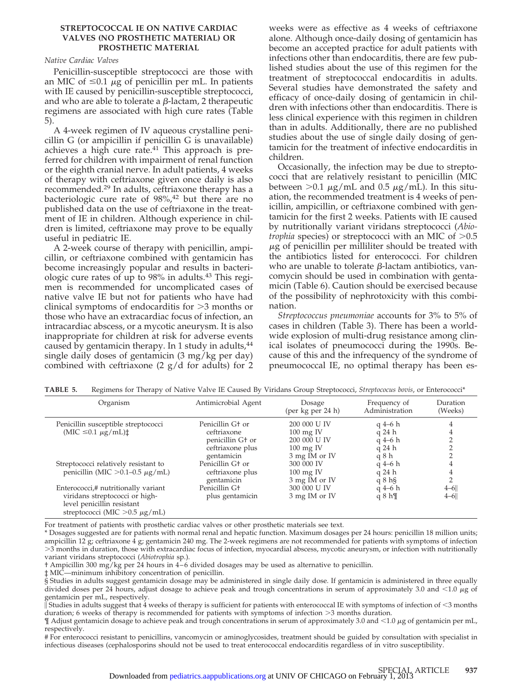## **STREPTOCOCCAL IE ON NATIVE CARDIAC VALVES (NO PROSTHETIC MATERIAL) OR PROSTHETIC MATERIAL**

#### *Native Cardiac Valves*

Penicillin-susceptible streptococci are those with an MIC of  $\leq 0.1$   $\mu$ g of penicillin per mL. In patients with IE caused by penicillin-susceptible streptococci, and who are able to tolerate a  $\beta$ -lactam, 2 therapeutic regimens are associated with high cure rates (Table 5).

A 4-week regimen of IV aqueous crystalline penicillin G (or ampicillin if penicillin G is unavailable) achieves a high cure rate. $41$  This approach is preferred for children with impairment of renal function or the eighth cranial nerve. In adult patients, 4 weeks of therapy with ceftriaxone given once daily is also recommended.29 In adults, ceftriaxone therapy has a bacteriologic cure rate of  $98\%$ ,  $42$  but there are no published data on the use of ceftriaxone in the treatment of IE in children. Although experience in children is limited, ceftriaxone may prove to be equally useful in pediatric IE.

A 2-week course of therapy with penicillin, ampicillin, or ceftriaxone combined with gentamicin has become increasingly popular and results in bacteriologic cure rates of up to 98% in adults.43 This regimen is recommended for uncomplicated cases of native valve IE but not for patients who have had clinical symptoms of endocarditis for  $>3$  months or those who have an extracardiac focus of infection, an intracardiac abscess, or a mycotic aneurysm. It is also inappropriate for children at risk for adverse events caused by gentamicin therapy. In 1 study in adults,  $44$ single daily doses of gentamicin (3 mg/kg per day) combined with ceftriaxone  $(2 \text{ g}/d)$  for adults) for 2 weeks were as effective as 4 weeks of ceftriaxone alone. Although once-daily dosing of gentamicin has become an accepted practice for adult patients with infections other than endocarditis, there are few published studies about the use of this regimen for the treatment of streptococcal endocarditis in adults. Several studies have demonstrated the safety and efficacy of once-daily dosing of gentamicin in children with infections other than endocarditis. There is less clinical experience with this regimen in children than in adults. Additionally, there are no published studies about the use of single daily dosing of gentamicin for the treatment of infective endocarditis in children.

Occasionally, the infection may be due to streptococci that are relatively resistant to penicillin (MIC between  $>0.1 \mu g/mL$  and 0.5  $\mu g/mL$ ). In this situation, the recommended treatment is 4 weeks of penicillin, ampicillin, or ceftriaxone combined with gentamicin for the first 2 weeks. Patients with IE caused by nutritionally variant viridans streptococci (*Abiotrophia* species) or streptococci with an MIC of  $>0.5$  $\mu$ g of penicillin per milliliter should be treated with the antibiotics listed for enterococci. For children who are unable to tolerate  $\beta$ -lactam antibiotics, vancomycin should be used in combination with gentamicin (Table 6). Caution should be exercised because of the possibility of nephrotoxicity with this combination.

*Streptococcus pneumoniae* accounts for 3% to 5% of cases in children (Table 3). There has been a worldwide explosion of multi-drug resistance among clinical isolates of pneumococci during the 1990s. Because of this and the infrequency of the syndrome of pneumococcal IE, no optimal therapy has been es-

**TABLE 5.** Regimens for Therapy of Native Valve IE Caused By Viridans Group Streptococci, *Streptococus bovis*, or Enterococci\*

| Organism                              | Antimicrobial Agent          | Dosage<br>(per kg per 24 h) | Frequency of<br>Administration | Duration<br>(Weeks) |
|---------------------------------------|------------------------------|-----------------------------|--------------------------------|---------------------|
| Penicillin susceptible streptococci   | Penicillin G <sup>+</sup> or | 200 000 U IV                | q 4–6 h                        |                     |
| (MIC $\leq 0.1 \mu g/mL$ ) $\ddagger$ | ceftriaxone                  | $100 \text{ mg}$ IV         | q 24 h                         |                     |
|                                       | penicillin Gt or             | 200 000 U IV                | q 4–6 $h$                      |                     |
|                                       | ceftriaxone plus             | $100 \text{ mg}$ IV         | q 24 h                         |                     |
|                                       | gentamicin                   | 3 mg IM or IV               | q 8 h                          |                     |
| Streptococci relatively resistant to  | Penicillin Gt or             | 300 000 IV                  | q 4–6 h                        |                     |
| penicillin (MIC $>0.1-0.5 \mu g/mL$ ) | ceftriaxone plus             | $100 \text{ mg}$ IV         | q 24 h                         | 4                   |
|                                       | gentamicin                   | 3 mg IM or IV               | q $8$ h§                       | $\overline{2}$      |
| Enterococci,# nutritionally variant   | Penicillin G <sup>+</sup>    | 300 000 U IV                | q 4–6 h                        | $4 - 6$             |
| viridans streptococci or high-        | plus gentamicin              | 3 mg IM or IV               | q $8 \text{ h}$                | $4 - 6$             |
| level penicillin resistant            |                              |                             |                                |                     |
| streptococci (MIC $>0.5 \mu g/mL$ )   |                              |                             |                                |                     |

For treatment of patients with prosthetic cardiac valves or other prosthetic materials see text.

\* Dosages suggested are for patients with normal renal and hepatic function. Maximum dosages per 24 hours: penicillin 18 million units; ampicillin 12 g; ceftriaxone 4 g; gentamicin 240 mg. The 2-week regimens are not recommended for patients with symptoms of infection 3 months in duration, those with extracardiac focus of infection, myocardial abscess, mycotic aneurysm, or infection with nutritionally variant viridans streptococci (*Abiotrophia* sp.).

† Ampicillin 300 mg/kg per 24 hours in 4–6 divided dosages may be used as alternative to penicillin.

‡ MIC—minimum inhibitory concentration of penicillin.

§ Studies in adults suggest gentamicin dosage may be administered in single daily dose. If gentamicin is administered in three equally divided doses per 24 hours, adjust dosage to achieve peak and trough concentrations in serum of approximately 3.0 and <1.0  $\mu$ g of gentamicin per mL, respectively.

 $\parallel$  Studies in adults suggest that 4 weeks of therapy is sufficient for patients with enterococcal IE with symptoms of infection of  $<$ 3 months duration; 6 weeks of therapy is recommended for patients with symptoms of infection >3 months duration.

 $\parallel$  Adjust gentamicin dosage to achieve peak and trough concentrations in serum of approximately 3.0 and <1.0  $\mu$ g of gentamicin per mL, respectively.

# For enterococci resistant to penicillins, vancomycin or aminoglycosides, treatment should be guided by consultation with specialist in infectious diseases (cephalosporins should not be used to treat enterococcal endocarditis regardless of in vitro susceptibility.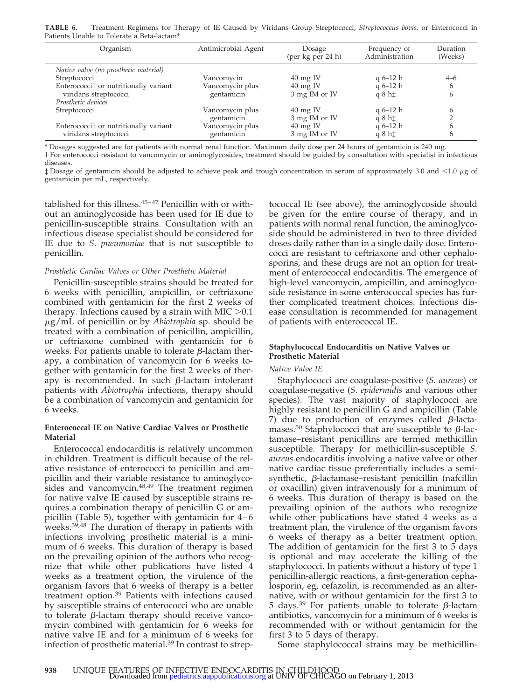**TABLE 6.** Treatment Regimens for Therapy of IE Caused by Viridans Group Streptococci, *Streptococcus bovis*, or Enterococci in Patients Unable to Tolerate a Beta-lactam\*

| Organism                              | Antimicrobial Agent | Dosage<br>(per kg per 24 h) | Frequency of<br>Administration | Duration<br>(Weeks) |
|---------------------------------------|---------------------|-----------------------------|--------------------------------|---------------------|
| Native valve (no prosthetic material) |                     |                             |                                |                     |
| Streptococci                          | Vancomycin          | $40 \text{ mg}$ IV          | q $6-12$ h                     | $4 - 6$             |
| Enterococcit or nutritionally variant | Vancomycin plus     | $40 \text{ mg}$ IV          | q $6-12$ h                     | 6                   |
| viridans streptococci                 | gentamicin          | 3 mg IM or IV               | q $8 \text{ h}$                | 6                   |
| Prosthetic devices                    |                     |                             |                                |                     |
| Streptococci                          | Vancomycin plus     | $40 \text{ mg}$ IV          | q $6-12$ h                     | 6                   |
|                                       | gentamicin          | 3 mg IM or IV               | q $8 \text{ h}$                | C                   |
| Enterococcit or nutritionally variant | Vancomycin plus     | $40 \text{ mg}$ IV          | q $6-12$ h                     | h                   |
| viridans streptococci                 | gentamicin          | 3 mg IM or IV               | q $8 \text{ h}$                | $\mathbf{6}$        |

\* Dosages suggested are for patients with normal renal function. Maximum daily dose per 24 hours of gentamicin is 240 mg.

† For enterococci resistant to vancomycin or aminoglycosides, treatment should be guided by consultation with specialist in infectious diseases.

 $\ddagger$  Dosage of gentamicin should be adjusted to achieve peak and trough concentration in serum of approximately 3.0 and <1.0  $\mu$ g of gentamicin per mL, respectively.

tablished for this illness.45–47 Penicillin with or without an aminoglycoside has been used for IE due to penicillin-susceptible strains. Consultation with an infectious disease specialist should be considered for IE due to *S. pneumoniae* that is not susceptible to penicillin.

## *Prosthetic Cardiac Valves or Other Prosthetic Material*

Penicillin-susceptible strains should be treated for 6 weeks with penicillin, ampicillin, or ceftriaxone combined with gentamicin for the first 2 weeks of therapy. Infections caused by a strain with MIC  $>0.1$ g/mL of penicillin or by *Abiotrophia* sp. should be treated with a combination of penicillin, ampicillin, or ceftriaxone combined with gentamicin for 6 weeks. For patients unable to tolerate  $\beta$ -lactam therapy, a combination of vancomycin for 6 weeks together with gentamicin for the first 2 weeks of therapy is recommended. In such  $\beta$ -lactam intolerant patients with *Abiotrophia* infections, therapy should be a combination of vancomycin and gentamicin for 6 weeks.

## **Enterococcal IE on Native Cardiac Valves or Prosthetic Material**

Enterococcal endocarditis is relatively uncommon in children. Treatment is difficult because of the relative resistance of enterococci to penicillin and ampicillin and their variable resistance to aminoglycosides and vancomycin.<sup>48,49</sup> The treatment regimen for native valve IE caused by susceptible strains requires a combination therapy of penicillin G or ampicillin (Table 5), together with gentamicin for 4–6 weeks.39,48 The duration of therapy in patients with infections involving prosthetic material is a minimum of 6 weeks. This duration of therapy is based on the prevailing opinion of the authors who recognize that while other publications have listed 4 weeks as a treatment option, the virulence of the organism favors that 6 weeks of therapy is a better treatment option.39 Patients with infections caused by susceptible strains of enterococci who are unable to tolerate  $\beta$ -lactam therapy should receive vancomycin combined with gentamicin for 6 weeks for native valve IE and for a minimum of 6 weeks for infection of prosthetic material.39 In contrast to streptococcal IE (see above), the aminoglycoside should be given for the entire course of therapy, and in patients with normal renal function, the aminoglycoside should be administered in two to three divided doses daily rather than in a single daily dose. Enterococci are resistant to ceftriaxone and other cephalosporins, and these drugs are not an option for treatment of enterococcal endocarditis. The emergence of high-level vancomycin, ampicillin, and aminoglycoside resistance in some enterococcal species has further complicated treatment choices. Infectious disease consultation is recommended for management of patients with enterococcal IE.

## **Staphylococcal Endocarditis on Native Valves or Prosthetic Material**

## *Native Valve IE*

Staphylococci are coagulase-positive (*S. aureus*) or coagulase-negative (*S. epidermidis* and various other species). The vast majority of staphylococci are highly resistant to penicillin G and ampicillin (Table 7) due to production of enzymes called  $\beta$ -lactamases.<sup>50</sup> Staphylococci that are susceptible to  $\beta$ -lactamase–resistant penicillins are termed methicillin susceptible. Therapy for methicillin-susceptible *S. aureus* endocarditis involving a native valve or other native cardiac tissue preferentially includes a semisynthetic,  $\beta$ -lactamase–resistant penicillin (nafcillin or oxacillin) given intravenously for a minimum of 6 weeks. This duration of therapy is based on the prevailing opinion of the authors who recognize while other publications have stated 4 weeks as a treatment plan, the virulence of the organism favors 6 weeks of therapy as a better treatment option. The addition of gentamicin for the first 3 to 5 days is optional and may accelerate the killing of the staphylococci. In patients without a history of type 1 penicillin-allergic reactions, a first-generation cephalosporin, eg, cefazolin, is recommended as an alternative, with or without gentamicin for the first 3 to 5 days.<sup>39</sup> For patients unable to tolerate  $\beta$ -lactam antibiotics, vancomycin for a minimum of 6 weeks is recommended with or without gentamicin for the first 3 to 5 days of therapy.

Some staphylococcal strains may be methicillin-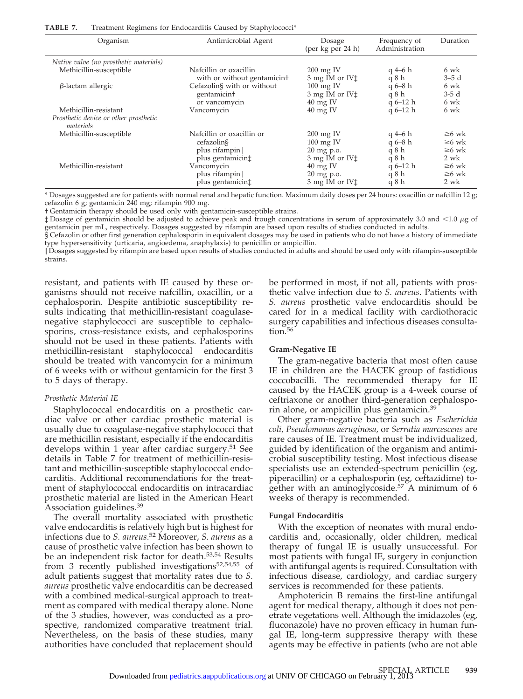**TABLE 7.** Treatment Regimens for Endocarditis Caused by Staphylococci\*

| Organism                                                                    | Antimicrobial Agent          | Dosage<br>(per kg per 24 h)                    | Frequency of<br>Administration | Duration    |
|-----------------------------------------------------------------------------|------------------------------|------------------------------------------------|--------------------------------|-------------|
| Native valve (no prosthetic materials)                                      |                              |                                                |                                |             |
| Methicillin-susceptible                                                     | Nafcillin or oxacillin       | $200 \text{ mg}$ IV                            | q 4–6 h                        | 6 wk        |
|                                                                             | with or without gentamicint  | 3 mg IM or IV‡                                 | q 8 h                          | $3-5d$      |
| $\beta$ -lactam allergic                                                    | Cefazolin§ with or without   | $100$ mg IV                                    | q $6-8$ h                      | 6 wk        |
|                                                                             | gentamicin <sup>+</sup>      | 3 mg IM or IV <sup><math>\pm</math></sup>      | q 8 h                          | $3-5d$      |
|                                                                             | or vancomycin                | $40 \text{ mg}$ IV                             | q $6-12$ h                     | 6 wk        |
| Methicillin-resistant<br>Prosthetic device or other prosthetic<br>materials | Vancomycin                   | $40 \text{ mg}$ IV                             | q $6-12$ h                     | 6 wk        |
| Methicillin-susceptible                                                     | Nafcillin or oxacillin or    | $200$ mg IV                                    | q 4–6 h                        | $\geq 6$ wk |
|                                                                             | cefazolin§                   | $100 \text{ mg}$ IV                            | q $6-8$ h                      | $\geq 6$ wk |
|                                                                             | plus rifampin                | 20 mg p.o.                                     | q 8 h                          | $\geq 6$ wk |
|                                                                             | plus gentamicin‡             | 3 mg IM or IV <sup><math>\ddagger</math></sup> | q 8 h                          | 2 wk        |
| Methicillin-resistant                                                       | Vancomycin                   | $40 \text{ mg}$ IV                             | q $6-12$ h                     | $\geq 6$ wk |
|                                                                             | plus rifampin                | 20 mg p.o.                                     | q 8 h                          | $\geq 6$ wk |
|                                                                             | plus gentamicin <sup>+</sup> | 3 mg IM or IV <sup><math>\ddagger</math></sup> | q 8 h                          | 2 wk        |

\* Dosages suggested are for patients with normal renal and hepatic function. Maximum daily doses per 24 hours: oxacillin or nafcillin 12 g; cefazolin 6 g; gentamicin 240 mg; rifampin 900 mg.

† Gentamicin therapy should be used only with gentamicin-susceptible strains.

 $\ddagger$  Dosage of gentamicin should be adjusted to achieve peak and trough concentrations in serum of approximately 3.0 and <1.0  $\mu$ g of gentamicin per mL, respectively. Dosages suggested by rifampin are based upon results of studies conducted in adults.

§ Cefazolin or other first generation cephalosporin in equivalent dosages may be used in patients who do not have a history of immediate type hypersensitivity (urticaria, angioedema, anaphylaxis) to penicillin or ampicillin.

 Dosages suggested by rifampin are based upon results of studies conducted in adults and should be used only with rifampin-susceptible strains.

resistant, and patients with IE caused by these organisms should not receive nafcillin, oxacillin, or a cephalosporin. Despite antibiotic susceptibility results indicating that methicillin-resistant coagulasenegative staphylococci are susceptible to cephalosporins, cross-resistance exists, and cephalosporins should not be used in these patients. Patients with methicillin-resistant staphylococcal endocarditis should be treated with vancomycin for a minimum of 6 weeks with or without gentamicin for the first 3 to 5 days of therapy.

#### *Prosthetic Material IE*

Staphylococcal endocarditis on a prosthetic cardiac valve or other cardiac prosthetic material is usually due to coagulase-negative staphylococci that are methicillin resistant, especially if the endocarditis develops within 1 year after cardiac surgery.51 See details in Table 7 for treatment of methicillin-resistant and methicillin-susceptible staphylococcal endocarditis. Additional recommendations for the treatment of staphylococcal endocarditis on intracardiac prosthetic material are listed in the American Heart Association guidelines.39

The overall mortality associated with prosthetic valve endocarditis is relatively high but is highest for infections due to *S. aureus*. <sup>52</sup> Moreover, *S. aureus* as a cause of prosthetic valve infection has been shown to be an independent risk factor for death.53,54 Results from 3 recently published investigations<sup>52,54,55</sup> of adult patients suggest that mortality rates due to *S. aureus* prosthetic valve endocarditis can be decreased with a combined medical-surgical approach to treatment as compared with medical therapy alone. None of the 3 studies, however, was conducted as a prospective, randomized comparative treatment trial. Nevertheless, on the basis of these studies, many authorities have concluded that replacement should

be performed in most, if not all, patients with prosthetic valve infection due to *S. aureus*. Patients with *S. aureus* prosthetic valve endocarditis should be cared for in a medical facility with cardiothoracic surgery capabilities and infectious diseases consultation.<sup>56</sup>

#### **Gram-Negative IE**

The gram-negative bacteria that most often cause IE in children are the HACEK group of fastidious coccobacilli. The recommended therapy for IE caused by the HACEK group is a 4-week course of ceftriaxone or another third-generation cephalosporin alone, or ampicillin plus gentamicin.39

Other gram-negative bacteria such as *Escherichia coli, Pseudomonas aeruginosa,* or *Serratia marcescens* are rare causes of IE. Treatment must be individualized, guided by identification of the organism and antimicrobial susceptibility testing. Most infectious disease specialists use an extended-spectrum penicillin (eg, piperacillin) or a cephalosporin (eg, ceftazidime) together with an aminoglycoside.<sup>57</sup> A minimum of 6 weeks of therapy is recommended.

## **Fungal Endocarditis**

With the exception of neonates with mural endocarditis and, occasionally, older children, medical therapy of fungal IE is usually unsuccessful. For most patients with fungal IE, surgery in conjunction with antifungal agents is required. Consultation with infectious disease, cardiology, and cardiac surgery services is recommended for these patients.

Amphotericin B remains the first-line antifungal agent for medical therapy, although it does not penetrate vegetations well. Although the imidazoles (eg, fluconazole) have no proven efficacy in human fungal IE, long-term suppressive therapy with these agents may be effective in patients (who are not able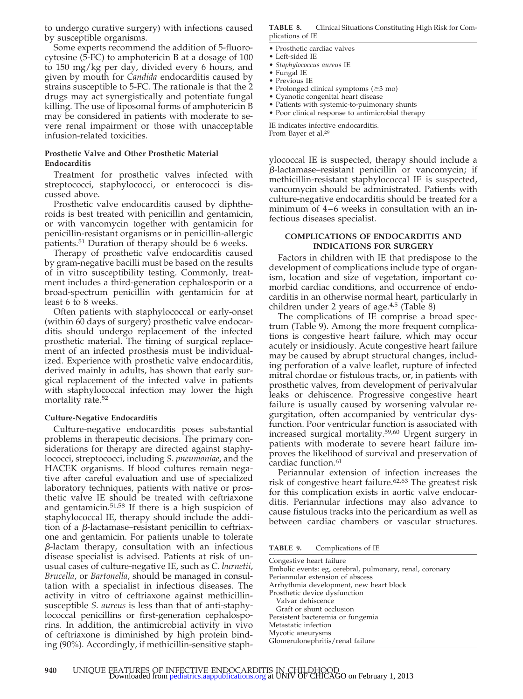to undergo curative surgery) with infections caused by susceptible organisms.

Some experts recommend the addition of 5-fluorocytosine (5-FC) to amphotericin B at a dosage of 100 to 150 mg/kg per day, divided every 6 hours, and given by mouth for *Candida* endocarditis caused by strains susceptible to 5-FC. The rationale is that the 2 drugs may act synergistically and potentiate fungal killing. The use of liposomal forms of amphotericin B may be considered in patients with moderate to severe renal impairment or those with unacceptable infusion-related toxicities.

#### **Prosthetic Valve and Other Prosthetic Material Endocarditis**

Treatment for prosthetic valves infected with streptococci, staphylococci, or enterococci is discussed above.

Prosthetic valve endocarditis caused by diphtheroids is best treated with penicillin and gentamicin, or with vancomycin together with gentamicin for penicillin-resistant organisms or in penicillin-allergic patients.51 Duration of therapy should be 6 weeks.

Therapy of prosthetic valve endocarditis caused by gram-negative bacilli must be based on the results of in vitro susceptibility testing. Commonly, treatment includes a third-generation cephalosporin or a broad-spectrum penicillin with gentamicin for at least 6 to 8 weeks.

Often patients with staphylococcal or early-onset (within 60 days of surgery) prosthetic valve endocarditis should undergo replacement of the infected prosthetic material. The timing of surgical replacement of an infected prosthesis must be individualized. Experience with prosthetic valve endocarditis, derived mainly in adults, has shown that early surgical replacement of the infected valve in patients with staphylococcal infection may lower the high mortality rate.<sup>52</sup>

## **Culture-Negative Endocarditis**

Culture-negative endocarditis poses substantial problems in therapeutic decisions. The primary considerations for therapy are directed against staphylococci, streptococci, including *S. pneumoniae*, and the HACEK organisms. If blood cultures remain negative after careful evaluation and use of specialized laboratory techniques, patients with native or prosthetic valve IE should be treated with ceftriaxone and gentamicin.51,58 If there is a high suspicion of staphylococcal IE, therapy should include the addition of a  $\beta$ -lactamase–resistant penicillin to ceftriaxone and gentamicin. For patients unable to tolerate  $\beta$ -lactam therapy, consultation with an infectious disease specialist is advised. Patients at risk of unusual cases of culture-negative IE, such as *C. burnetii*, *Brucella*, or *Bartonella*, should be managed in consultation with a specialist in infectious diseases. The activity in vitro of ceftriaxone against methicillinsusceptible *S. aureus* is less than that of anti-staphylococcal penicillins or first-generation cephalosporins. In addition, the antimicrobial activity in vivo of ceftriaxone is diminished by high protein binding (90%). Accordingly, if methicillin-sensitive staph**TABLE 8.** Clinical Situations Constituting High Risk for Complications of IE

- Prosthetic cardiac valves
- Left-sided IE
- *Staphylococcus aureus* IE
- Fungal IE • Previous IE
- Prolonged clinical symptoms  $(\geq 3 \text{ mo})$
- Cyanotic congenital heart disease
- Patients with systemic-to-pulmonary shunts
- Poor clinical response to antimicrobial therapy

IE indicates infective endocarditis. From Bayer et al.<sup>29</sup>

ylococcal IE is suspected, therapy should include a  $\beta$ -lactamase–resistant penicillin or vancomycin; if methicillin-resistant staphylococcal IE is suspected, vancomycin should be administrated. Patients with culture-negative endocarditis should be treated for a minimum of 4–6 weeks in consultation with an infectious diseases specialist.

### **COMPLICATIONS OF ENDOCARDITIS AND INDICATIONS FOR SURGERY**

Factors in children with IE that predispose to the development of complications include type of organism, location and size of vegetation, important comorbid cardiac conditions, and occurrence of endocarditis in an otherwise normal heart, particularly in children under 2 years of age. $4.5$  (Table 8)

The complications of IE comprise a broad spectrum (Table 9). Among the more frequent complications is congestive heart failure, which may occur acutely or insidiously. Acute congestive heart failure may be caused by abrupt structural changes, including perforation of a valve leaflet, rupture of infected mitral chordae or fistulous tracts, or, in patients with prosthetic valves, from development of perivalvular leaks or dehiscence. Progressive congestive heart failure is usually caused by worsening valvular regurgitation, often accompanied by ventricular dysfunction. Poor ventricular function is associated with increased surgical mortality.59,60 Urgent surgery in patients with moderate to severe heart failure improves the likelihood of survival and preservation of cardiac function.61

Periannular extension of infection increases the risk of congestive heart failure.<sup>62,63</sup> The greatest risk for this complication exists in aortic valve endocarditis. Periannular infections may also advance to cause fistulous tracks into the pericardium as well as between cardiac chambers or vascular structures.

**TABLE 9.** Complications of IE

Congestive heart failure Embolic events: eg, cerebral, pulmonary, renal, coronary Periannular extension of abscess Arrhythmia development, new heart block Prosthetic device dysfunction Valvar dehiscence Graft or shunt occlusion Persistent bacteremia or fungemia Metastatic infection Mycotic aneurysms Glomerulonephritis/renal failure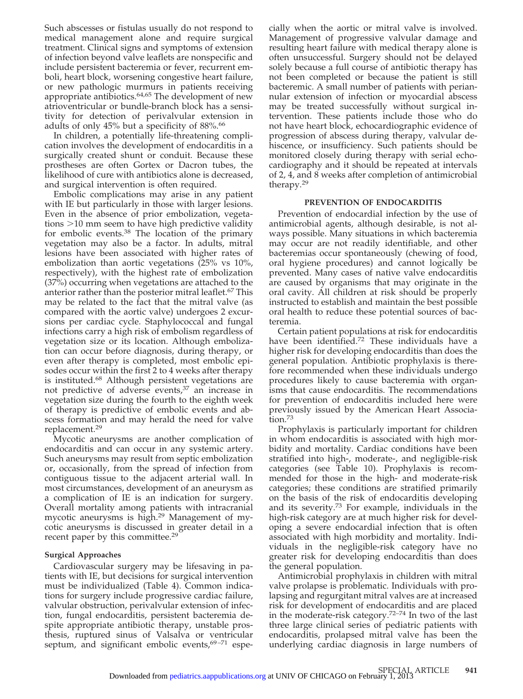Such abscesses or fistulas usually do not respond to medical management alone and require surgical treatment. Clinical signs and symptoms of extension of infection beyond valve leaflets are nonspecific and include persistent bacteremia or fever, recurrent emboli, heart block, worsening congestive heart failure, or new pathologic murmurs in patients receiving appropriate antibiotics.64,65 The development of new atrioventricular or bundle-branch block has a sensitivity for detection of perivalvular extension in adults of only 45% but a specificity of 88%.<sup>66</sup>

In children, a potentially life-threatening complication involves the development of endocarditis in a surgically created shunt or conduit. Because these prostheses are often Gortex or Dacron tubes, the likelihood of cure with antibiotics alone is decreased, and surgical intervention is often required.

Embolic complications may arise in any patient with IE but particularly in those with larger lesions. Even in the absence of prior embolization, vegetations  $>10$  mm seem to have high predictive validity for embolic events.38 The location of the primary vegetation may also be a factor. In adults, mitral lesions have been associated with higher rates of embolization than aortic vegetations (25% vs 10%, respectively), with the highest rate of embolization (37%) occurring when vegetations are attached to the anterior rather than the posterior mitral leaflet.67 This may be related to the fact that the mitral valve (as compared with the aortic valve) undergoes 2 excursions per cardiac cycle. Staphylococcal and fungal infections carry a high risk of embolism regardless of vegetation size or its location. Although embolization can occur before diagnosis, during therapy, or even after therapy is completed, most embolic episodes occur within the first 2 to 4 weeks after therapy is instituted.<sup>68</sup> Although persistent vegetations are not predictive of adverse events,<sup>37</sup> an increase in vegetation size during the fourth to the eighth week of therapy is predictive of embolic events and abscess formation and may herald the need for valve replacement.29

Mycotic aneurysms are another complication of endocarditis and can occur in any systemic artery. Such aneurysms may result from septic embolization or, occasionally, from the spread of infection from contiguous tissue to the adjacent arterial wall. In most circumstances, development of an aneurysm as a complication of IE is an indication for surgery. Overall mortality among patients with intracranial mycotic aneurysms is high.29 Management of mycotic aneurysms is discussed in greater detail in a recent paper by this committee.<sup>29</sup>

## **Surgical Approaches**

Cardiovascular surgery may be lifesaving in patients with IE, but decisions for surgical intervention must be individualized (Table 4). Common indications for surgery include progressive cardiac failure, valvular obstruction, perivalvular extension of infection, fungal endocarditis, persistent bacteremia despite appropriate antibiotic therapy, unstable prosthesis, ruptured sinus of Valsalva or ventricular septum, and significant embolic events, $69-71$  especially when the aortic or mitral valve is involved. Management of progressive valvular damage and resulting heart failure with medical therapy alone is often unsuccessful. Surgery should not be delayed solely because a full course of antibiotic therapy has not been completed or because the patient is still bacteremic. A small number of patients with periannular extension of infection or myocardial abscess may be treated successfully without surgical intervention. These patients include those who do not have heart block, echocardiographic evidence of progression of abscess during therapy, valvular dehiscence, or insufficiency. Such patients should be monitored closely during therapy with serial echocardiography and it should be repeated at intervals of 2, 4, and 8 weeks after completion of antimicrobial therapy.29

## **PREVENTION OF ENDOCARDITIS**

Prevention of endocardial infection by the use of antimicrobial agents, although desirable, is not always possible. Many situations in which bacteremia may occur are not readily identifiable, and other bacteremias occur spontaneously (chewing of food, oral hygiene procedures) and cannot logically be prevented. Many cases of native valve endocarditis are caused by organisms that may originate in the oral cavity. All children at risk should be properly instructed to establish and maintain the best possible oral health to reduce these potential sources of bacteremia.

Certain patient populations at risk for endocarditis have been identified.<sup>72</sup> These individuals have a higher risk for developing endocarditis than does the general population. Antibiotic prophylaxis is therefore recommended when these individuals undergo procedures likely to cause bacteremia with organisms that cause endocarditis. The recommendations for prevention of endocarditis included here were previously issued by the American Heart Association.<sup>73</sup>

Prophylaxis is particularly important for children in whom endocarditis is associated with high morbidity and mortality. Cardiac conditions have been stratified into high-, moderate-, and negligible-risk categories (see Table 10). Prophylaxis is recommended for those in the high- and moderate-risk categories; these conditions are stratified primarily on the basis of the risk of endocarditis developing and its severity.73 For example, individuals in the high-risk category are at much higher risk for developing a severe endocardial infection that is often associated with high morbidity and mortality. Individuals in the negligible-risk category have no greater risk for developing endocarditis than does the general population.

Antimicrobial prophylaxis in children with mitral valve prolapse is problematic. Individuals with prolapsing and regurgitant mitral valves are at increased risk for development of endocarditis and are placed in the moderate-risk category.72–74 In two of the last three large clinical series of pediatric patients with endocarditis, prolapsed mitral valve has been the underlying cardiac diagnosis in large numbers of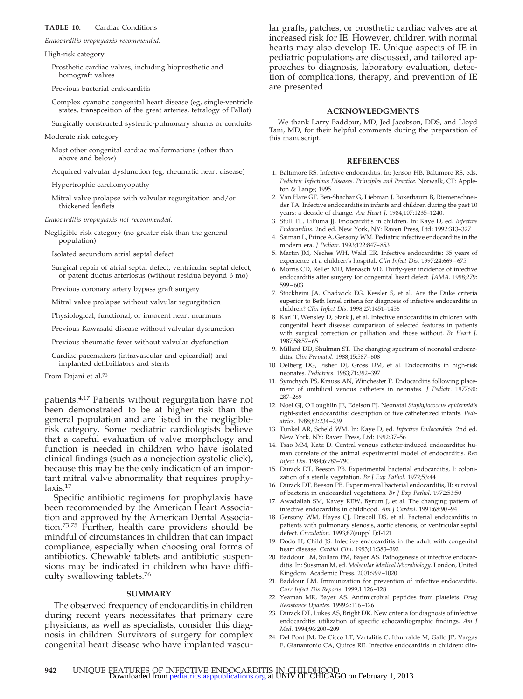#### **TABLE 10.** Cardiac Conditions

#### *Endocarditis prophylaxis recommended:*

High-risk category

Prosthetic cardiac valves, including bioprosthetic and homograft valves

Previous bacterial endocarditis

Complex cyanotic congenital heart disease (eg, single-ventricle states, transposition of the great arteries, tetralogy of Fallot)

Surgically constructed systemic-pulmonary shunts or conduits

#### Moderate-risk category

Most other congenital cardiac malformations (other than above and below)

Acquired valvular dysfunction (eg, rheumatic heart disease)

Hypertrophic cardiomyopathy

Mitral valve prolapse with valvular regurgitation and/or thickened leaflets

*Endocarditis prophylaxis not recommended:*

Negligible-risk category (no greater risk than the general population)

Isolated secundum atrial septal defect

Surgical repair of atrial septal defect, ventricular septal defect, or patent ductus arteriosus (without residua beyond 6 mo)

Previous coronary artery bypass graft surgery

Mitral valve prolapse without valvular regurgitation

Physiological, functional, or innocent heart murmurs

Previous Kawasaki disease without valvular dysfunction

Previous rheumatic fever without valvular dysfunction

Cardiac pacemakers (intravascular and epicardial) and implanted defibrillators and stents

From Dajani et al.<sup>73</sup>

patients.4,17 Patients without regurgitation have not been demonstrated to be at higher risk than the general population and are listed in the negligiblerisk category. Some pediatric cardiologists believe that a careful evaluation of valve morphology and function is needed in children who have isolated clinical findings (such as a nonejection systolic click), because this may be the only indication of an important mitral valve abnormality that requires prophylaxis.17

Specific antibiotic regimens for prophylaxis have been recommended by the American Heart Association and approved by the American Dental Association.73,75 Further, health care providers should be mindful of circumstances in children that can impact compliance, especially when choosing oral forms of antibiotics. Chewable tablets and antibiotic suspensions may be indicated in children who have difficulty swallowing tablets.76

#### **SUMMARY**

The observed frequency of endocarditis in children during recent years necessitates that primary care physicians, as well as specialists, consider this diagnosis in children. Survivors of surgery for complex congenital heart disease who have implanted vascular grafts, patches, or prosthetic cardiac valves are at increased risk for IE. However, children with normal hearts may also develop IE. Unique aspects of IE in pediatric populations are discussed, and tailored approaches to diagnosis, laboratory evaluation, detection of complications, therapy, and prevention of IE are presented.

#### **ACKNOWLEDGMENTS**

We thank Larry Baddour, MD, Jed Jacobson, DDS, and Lloyd Tani, MD, for their helpful comments during the preparation of this manuscript.

#### **REFERENCES**

- 1. Baltimore RS. Infective endocarditis. In: Jenson HB, Baltimore RS, eds. *Pediatric Infectious Diseases. Principles and Practice.* Norwalk, CT: Appleton & Lange; 1995
- 2. Van Hare GF, Ben-Shachar G, Liebman J, Boxerbaum B, Riemenschneider TA. Infective endocarditis in infants and children during the past 10 years: a decade of change. *Am Heart J*. 1984;107:1235–1240.
- 3. Stull TL, LiPuma JJ. Endocarditis in children. In: Kaye D, ed. *Infective Endocarditis.* 2nd ed. New York, NY: Raven Press, Ltd; 1992:313–327
- 4. Saiman L, Prince A, Gersony WM. Pediatric infective endocarditis in the modern era. *J Pediatr*. 1993;122:847–853
- 5. Martin JM, Neches WH, Wald ER. Infective endocarditis: 35 years of experience at a children's hospital. *Clin Infect Dis*. 1997;24:669–675
- 6. Morris CD, Reller MD, Menasch VD. Thirty-year incidence of infective endocarditis after surgery for congenital heart defect. *JAMA*. 1998;279: 599–603
- 7. Stockheim JA, Chadwick EG, Kessler S, et al. Are the Duke criteria superior to Beth Israel criteria for diagnosis of infective endocarditis in children? *Clin Infect Dis*. 1998;27:1451–1456
- 8. Karl T, Wensley D, Stark J, et al. Infective endocarditis in children with congenital heart disease: comparison of selected features in patients with surgical correction or palliation and those without. *Br Heart J*. 1987;58:57–65
- 9. Millard DD, Shulman ST. The changing spectrum of neonatal endocarditis. *Clin Perinatol*. 1988;15:587–608
- 10. Oelberg DG, Fisher DJ, Gross DM, et al. Endocarditis in high-risk neonates. *Pediatrics*. 1983;71:392–397
- 11. Symchych PS, Krauss AN, Winchester P. Endocarditis following placement of umbilical venous catheters in neonates. *J Pediatr*. 1977;90: 287–289
- 12. Noel GJ, O'Loughlin JE, Edelson PJ. Neonatal *Staphylococcus epidermidis* right-sided endocarditis: description of five catheterized infants. *Pediatrics*. 1988;82:234–239
- 13. Tunkel AR, Scheld WM. In: Kaye D, ed. *Infective Endocarditis.* 2nd ed. New York, NY: Raven Press, Ltd; 1992:37–56
- 14. Tsao MM, Katz D. Central venous catheter-induced endocarditis: human correlate of the animal experimental model of endocarditis. *Rev Infect Dis*. 1984;6:783–790.
- 15. Durack DT, Beeson PB. Experimental bacterial endocarditis, I: colonization of a sterile vegetation. *Br J Exp Pathol*. 1972;53:44
- 16. Durack DT, Beeson PB. Experimental bacterial endocarditis, II: survival of bacteria in endocardial vegetations. *Br J Exp Pathol*. 1972;53:50
- 17. Awadallah SM, Kavey REW, Byrum J, et al. The changing pattern of infective endocarditis in childhood. *Am J Cardiol*. 1991;68:90–94
- 18. Gersony WM, Hayes CJ, Driscoll DS, et al. Bacterial endocarditis in patients with pulmonary stenosis, aortic stenosis, or ventricular septal defect. *Circulation*. 1993;87(suppl I):I-121
- 19. Dodo H, Child JS. Infective endocarditis in the adult with congenital heart disease. *Cardiol Clin*. 1993;11:383–392
- 20. Baddour LM, Sullam PM, Bayer AS. Pathogenesis of infective endocarditis. In: Sussman M, ed. *Molecular Medical Microbiology.* London, United Kingdom: Academic Press. 2001:999–1020
- 21. Baddour LM. Immunization for prevention of infective endocarditis. *Curr Infect Dis Reports*. 1999;1:126–128
- 22. Yeaman MR, Bayer AS. Antimicrobial peptides from platelets. *Drug Resistance Updates*. 1999;2:116–126
- 23. Durack DT, Lukes AS, Bright DK. New criteria for diagnosis of infective endocarditis: utilization of specific echocardiographic findings. *Am J Med*. 1994;96:200–209
- 24. Del Pont JM, De Cicco LT, Vartalitis C, Ithurralde M, Gallo JP, Vargas F, Gianantonio CA, Quiros RE. Infective endocarditis in children: clin-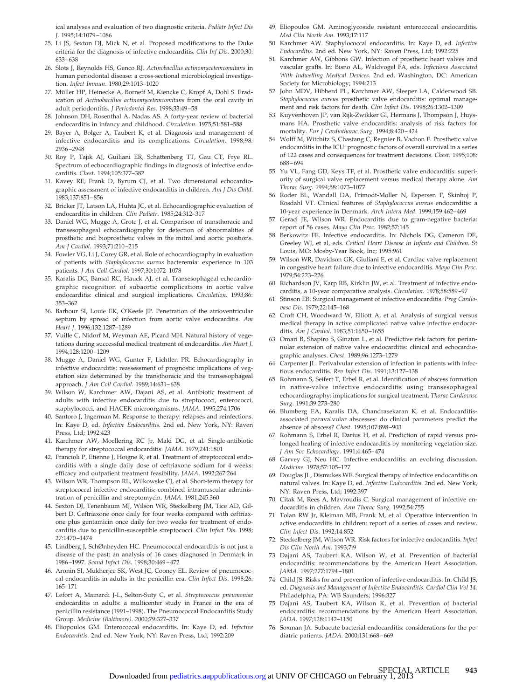ical analyses and evaluation of two diagnostic criteria. *Pediatr Infect Dis J*. 1995;14:1079–1086

- 25. Li JS, Sexton DJ, Mick N, et al. Proposed modifications to the Duke criteria for the diagnosis of infective endocarditis. *Clin Inf Dis*. 2000;30: 633–638
- 26. Slots J, Reynolds HS, Genco RJ. *Actinobacillus actinomycetemcomitans* in human periodontal disease: a cross-sectional microbiological investigation. *Infect Immun*. 1980;29:1013–1020
- 27. Müller HP, Heinecke A, Borneff M, Kiencke C, Kropf A, Dohl S. Eradication of *Actinobacillus actinomycetemcomitans* from the oral cavity in adult periodontitis. *J Periodontal Res*. 1998;33:49–58
- 28. Johnson DH, Rosenthal A, Nadas AS. A forty-year review of bacterial endocarditis in infancy and childhood. *Circulation*. 1975;51:581–588
- 29. Bayer A, Bolger A, Taubert K, et al. Diagnosis and management of infective endocarditis and its complications. *Circulation*. 1998;98: 2936–2948
- 30. Roy P, Tajik AJ, Guiliani ER, Schattenberg TT, Gau CT, Frye RL. Spectrum of echocardiographic findings in diagnosis of infective endocarditis. *Chest*. 1994;105:377–382
- 31. Kavey RE, Frank D, Byrum CJ, et al. Two dimensional echocardiographic assessment of infective endocarditis in children. *Am J Dis Child*. 1983;137:851–856
- 32. Bricker JT, Latson LA, Huhta JC, et al. Echocardiographic evaluation of endocarditis in children. *Clin Pediatr*. 1985;24:312–317
- 33. Daniel WG, Mugge A, Grote J, et al. Comparison of transthoracic and transesophageal echocardiography for detection of abnormalities of prosthetic and bioprosthetic valves in the mitral and aortic positions. *Am J Cardiol*. 1993;71:210–215
- 34. Fowler VG, Li J, Corey GR, et al. Role of echocardiography in evaluation of patients with *Staphylococcus aureus* bacteremia: experience in 103 patients. *J Am Coll Cardiol*. 1997;30:1072–1078
- 35. Karalis DG, Bansal RC, Hauck AJ, et al. Transesophageal echocardiographic recognition of subaortic complications in aortic valve endocarditis: clinical and surgical implications. *Circulation*. 1993;86: 353–362
- 36. Barbour SI, Louie EK, O'Keefe JP. Penetration of the atrioventricular septum by spread of infection from aortic valve endocarditis. *Am Heart J*. 1996;132:1287–1289
- 37. Vuille C, Nidorf M, Weyman AE, Picard MH. Natural history of vegetations during successful medical treatment of endocarditis. *Am Heart J*. 1994;128:1200–1209
- 38. Mugge A, Daniel WG, Gunter F, Lichtlen PR. Echocardiography in infective endocarditis: reassessment of prognostic implications of vegetation size determined by the transthoracic and the transesophageal approach. *J Am Coll Cardiol*. 1989;14:631–638
- 39. Wilson W, Karchmer AW, Dajani AS, et al. Antibiotic treatment of adults with infective endocarditis due to streptococci, enterococci, staphylococci, and HACEK microorganisms. *JAMA*. 1995;274:1706
- 40. Santoro J, Ingerman M. Response to therapy: relapses and reinfections. In: Kaye D, ed. *Infective Endocarditis.* 2nd ed. New York, NY: Raven Press, Ltd; 1992:423
- 41. Karchmer AW, Moellering RC Jr, Maki DG, et al. Single-antibiotic therapy for streptococcal endocarditis. *JAMA*. 1979;241:1801
- 42. Francioli P, Etienne J, Hoigne R, et al. Treatment of streptococcal endocarditis with a single daily dose of ceftriaxone sodium for 4 weeks: efficacy and outpatient treatment feasibility. *JAMA*. 1992;267:264
- 43. Wilson WR, Thompson RL, Wilkowske CJ, et al. Short-term therapy for streptococcal infective endocarditis: combined intramuscular administration of penicillin and streptomycin. *JAMA*. 1981;245:360
- 44. Sexton DJ, Tenenbaum MJ, Wilson WR, Steckelberg JM, Tice AD, Gilbert D. Ceftriaxone once daily for four weeks compared with ceftriaxone plus gentamicin once daily for two weeks for treatment of endocarditis due to penicillin-susceptible streptococci. *Clin Infect Dis*. 1998; 27:1470–1474
- 45. Lindberg J, SchØnheyden HC. Pneumococcal endocarditis is not just a disease of the past: an analysis of 16 cases diagnosed in Denmark in 1986–1997. *Scand Infect Dis.* 1998;30:469–472
- 46. Aronin SI, Mukherjee SK, West JC, Cooney EL. Review of pneumococcal endocarditis in adults in the penicillin era. *Clin Infect Dis*. 1998;26: 165–171
- 47. Lefort A, Mainardi J-L, Selton-Suty C, et al. *Streptococcus pneumoniae* endocarditis in adults: a multicenter study in France in the era of penicillin resistance (1991–1998). The Pneumococcal Endocarditis Study Group. *Medicine (Baltimore)*. 2000;79:327–337
- 48. Eliopoulos GM. Enterococcal endocarditis. In: Kaye D, ed. *Infective Endocarditis.* 2nd ed. New York, NY: Raven Press, Ltd; 1992:209
- 49. Eliopoulos GM. Aminoglycoside resistant enterococcal endocarditis. *Med Clin North Am*. 1993;17:117
- 50. Karchmer AW. Staphylococcal endocarditis. In: Kaye D, ed. *Infective Endocarditis.* 2nd ed. New York, NY: Raven Press, Ltd; 1992:225
- 51. Karchmer AW, Gibbons GW. Infection of prosthetic heart valves and vascular grafts. In: Bisno AL, Waldvogel FA, eds. *Infections Associated With Indwelling Medical Devices.* 2nd ed. Washington, DC: American Society for Microbiology; 1994:213
- 52. John MDV, Hibberd PL, Karchmer AW, Sleeper LA, Calderwood SB. *Staphylococcus aureus* prosthetic valve endocarditis: optimal management and risk factors for death. *Clin Infect Dis*. 1998;26:1302–1309
- 53. Kuyvenhoven JP, van Rijk-Zwikker Gl, Hermans J, Thompson J, Huysmans HA. Prosthetic valve endocarditis: analysis of risk factors for mortality. *Eur J Cardiothorac Surg*. 1994;8:420–424
- 54. Wolff M, Witchitz S, Chastang C, Regnier B, Vachon F. Prosthetic valve endocarditis in the ICU: prognostic factors of overall survival in a series of 122 cases and consequences for treatment decisions. *Chest*. 1995;108: 688–694
- 55. Yu VL, Fang GD, Keys TF, et al. Prosthetic valve endocarditis: superiority of surgical valve replacement versus medical therapy alone. *Am Thorac Surg*. 1994;58:1073–1077
- 56. Roder BL, Wandall DA, Frimodt-Moller N, Espersen F, Skinhoj P, Rosdahl VT. Clinical features of *Staphylococcus aureus* endocarditis: a 10-year experience in Denmark. *Arch Intern Med*. 1999;159:462–469
- 57. Geraci JE, Wilson WR. Endocarditis due to gram-negative bacteria: report of 56 cases. *Mayo Clin Proc*. 1982;57:145
- 58. Berkowitz FE. Infective endocarditis. In: Nichols DG, Cameron DE, Greeley WJ, et al, eds. *Critical Heart Disease in Infants and Children.* St Louis, MO: Mosby-Year Book, Inc; 1995:961
- 59. Wilson WR, Davidson GK, Giuliani E, et al. Cardiac valve replacement in congestive heart failure due to infective endocarditis. *Mayo Clin Proc*. 1979;54:223–226
- 60. Richardson JV, Karp RB, Kirklin JW, et al. Treatment of infective endocarditis, a 10-year comparative analysis. *Circulation*. 1978;58:589–97
- 61. Stinson EB. Surgical management of infective endocarditis. *Prog Cardiovasc Dis*. 1979;22:145–168
- 62. Croft CH, Woodward W, Elliott A, et al. Analysis of surgical versus medical therapy in active complicated native valve infective endocarditis. *Am J Cardiol*. 1983;51:1650–1655
- 63. Omari B, Shapiro S, Ginzton L, et al. Predictive risk factors for periannular extension of native valve endocarditis: clinical and echocardiographic analyses. *Chest*. 1989;96:1273–1279
- 64. Carpenter JL. Perivalvular extension of infection in patients with infectious endocarditis. *Rev Infect Dis*. 1991;13:127–138
- 65. Rohmann S, Seifert T, Erbel R, et al. Identification of abscess formation in native-valve infective endocarditis using transesophageal echocardiography: implications for surgical treatment. *Thorac Cardiovasc Surg*. 1991;39:273–280
- 66. Blumberg EA, Karalis DA, Chandrasekaran K, et al. Endocarditisassociated paravalvular abscesses: do clinical parameters predict the absence of abscess? *Chest*. 1995;107:898–903
- 67. Rohmann S, Erbel R, Darius H, et al. Prediction of rapid versus prolonged healing of infective endocarditis by monitoring vegetation size. *J Am Soc Echocardiogr*. 1991;4:465–474
- 68. Garvey GJ, Neu HC. Infective endocarditis: an evolving discussion. *Medicine*. 1978;57:105–127
- 69. Douglas JL, Dismukes WE. Surgical therapy of infective endocarditis on natural valves. In: Kaye D, ed. *Infective Endocarditis.* 2nd ed. New York, NY: Raven Press, Ltd; 1992:397
- 70. Citak M, Rees A, Mavroudis C. Surgical management of infective endocarditis in children. *Ann Thorac Surg*. 1992;54:755
- 71. Tolan RW Jr, Kleiman MB, Frank M, et al. Operative intervention in active endocarditis in children: report of a series of cases and review. *Clin Infect Dis*. 1992;14:852
- 72. Steckelberg JM, Wilson WR. Risk factors for infective endocarditis. *Infect Dis Clin North Am*. 1993;7:9
- 73. Dajani AS, Taubert KA, Wilson W, et al. Prevention of bacterial endocarditis: recommendations by the American Heart Association. *JAMA*. 1997;277:1794–1801
- 74. Child JS. Risks for and prevention of infective endocarditis. In: Child JS, ed. *Diagnosis and Management of Infective Endocarditis. Cardiol Clin Vol 14.* Philadelphia, PA: WB Saunders; 1996:327
- 75. Dajani AS, Taubert KA, Wilson K, et al. Prevention of bacterial endocarditis: recommendations by the American Heart Association. *JADA*. 1997;128:1142–1150
- 76. Soxman JA. Subacute bacterial endocarditis: considerations for the pediatric patients. *JADA*. 2000;131:668–669